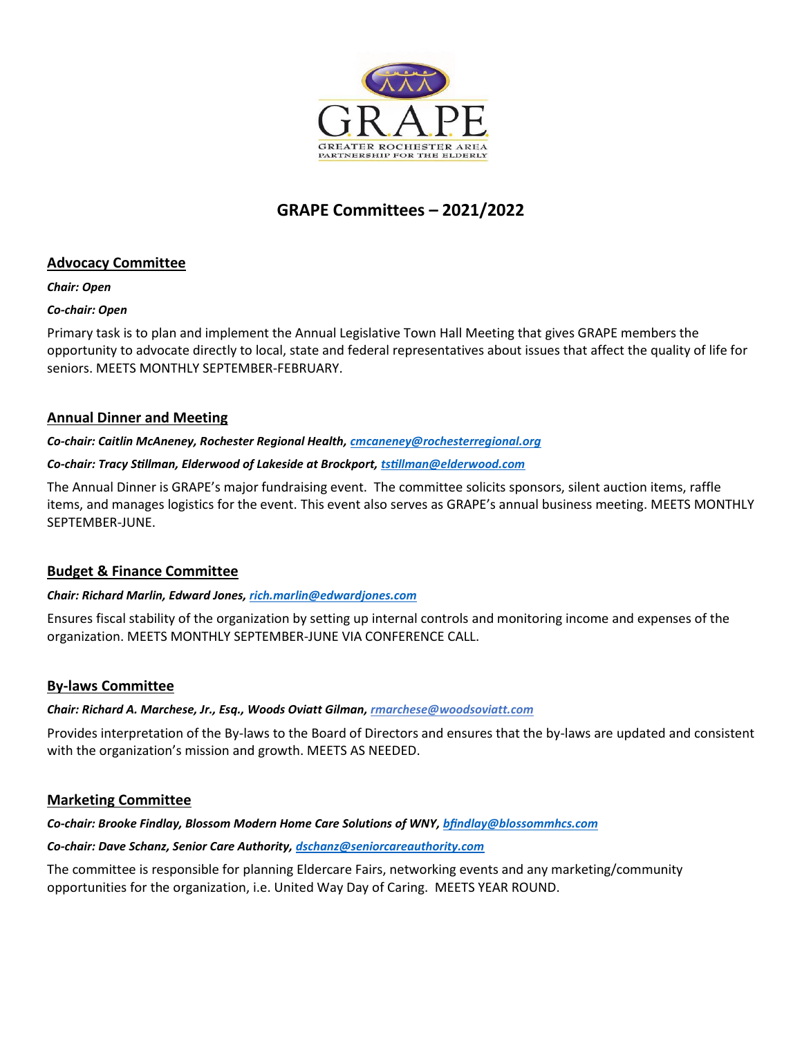

# **GRAPE Committees – 2021/2022**

# **Advocacy Committee**

#### *Chair: Open*

### *Co-chair: Open*

Primary task is to plan and implement the Annual Legislative Town Hall Meeting that gives GRAPE members the opportunity to advocate directly to local, state and federal representatives about issues that affect the quality of life for seniors. MEETS MONTHLY SEPTEMBER-FEBRUARY.

# **Annual Dinner and Meeting**

#### *Co-chair: Caitlin McAneney, Rochester Regional Health[, cmcaneney@rochesterregional.org](mailto:cmcaneney@rochesterregional.org)*

### *Co-chair: Tracy Stillman, Elderwood of Lakeside at Brockport, [tstillman@elderwood.com](mailto:tstillman@elderwood.com)*

The Annual Dinner is GRAPE's major fundraising event. The committee solicits sponsors, silent auction items, raffle items, and manages logistics for the event. This event also serves as GRAPE's annual business meeting. MEETS MONTHLY SEPTEMBER-JUNE.

# **Budget & Finance Committee**

#### *Chair: Richard Marlin, Edward Jones[, rich.marlin@edwardjones.com](mailto:rich.marlin@edwardjones.com)*

Ensures fiscal stability of the organization by setting up internal controls and monitoring income and expenses of the organization. MEETS MONTHLY SEPTEMBER-JUNE VIA CONFERENCE CALL.

# **By-laws Committee**

#### *Chair: Richard A. Marchese, Jr., Esq., Woods Oviatt Gilman, [rmarchese@woodsoviatt.com](mailto:rmarchese@woodsoviatt.com)*

Provides interpretation of the By-laws to the Board of Directors and ensures that the by-laws are updated and consistent with the organization's mission and growth. MEETS AS NEEDED.

# **Marketing Committee**

#### *Co-chair: Brooke Findlay, Blossom Modern Home Care Solutions of WNY, [bfindlay@blossommhcs.com](mailto:bfindlay@blossommhcs.com)*

#### *Co-chair: Dave Schanz, Senior Care Authority, [dschanz@seniorcareauthority.com](mailto:dschanz@seniorcareauthority.com)*

The committee is responsible for planning Eldercare Fairs, networking events and any marketing/community opportunities for the organization, i.e. United Way Day of Caring. MEETS YEAR ROUND.